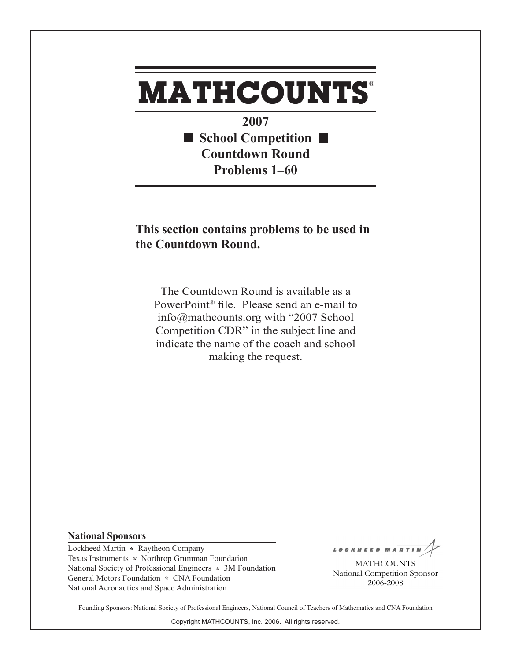## **MATHCOUNTS** ®

**2007 School Competition Countdown Round Problems 1–60**

## **This section contains problems to be used in the Countdown Round.**

The Countdown Round is available as a PowerPoint® file. Please send an e-mail to info@mathcounts.org with "2007 School Competition CDR" in the subject line and indicate the name of the coach and school making the request.

## **National Sponsors**

Lockheed Martin **\*** Raytheon Company Texas Instruments **\*** Northrop Grumman Foundation National Society of Professional Engineers **\*** 3M Foundation General Motors Foundation **\*** CNA Foundation National Aeronautics and Space Administration

LOCKHEED MAR

**MATHCOUNTS** National Competition Sponsor 2006-2008

Founding Sponsors: National Society of Professional Engineers, National Council of Teachers of Mathematics and CNA Foundation

Copyright MATHCOUNTS, Inc. 2006. All rights reserved.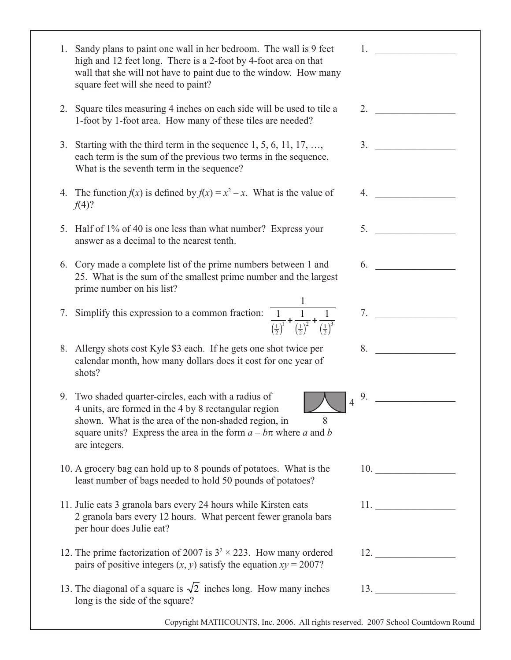| 1.                                                                                | Sandy plans to paint one wall in her bedroom. The wall is 9 feet<br>high and 12 feet long. There is a 2-foot by 4-foot area on that<br>wall that she will not have to paint due to the window. How many<br>square feet will she need to paint?                                      | 1. |     |  |
|-----------------------------------------------------------------------------------|-------------------------------------------------------------------------------------------------------------------------------------------------------------------------------------------------------------------------------------------------------------------------------------|----|-----|--|
| 2.                                                                                | Square tiles measuring 4 inches on each side will be used to tile a<br>1-foot by 1-foot area. How many of these tiles are needed?                                                                                                                                                   | 2. |     |  |
| 3.                                                                                | Starting with the third term in the sequence $1, 5, 6, 11, 17, \ldots$<br>each term is the sum of the previous two terms in the sequence.<br>What is the seventh term in the sequence?                                                                                              | 3. |     |  |
|                                                                                   | 4. The function $f(x)$ is defined by $f(x) = x^2 - x$ . What is the value of<br>f(4)?                                                                                                                                                                                               | 4. |     |  |
|                                                                                   | 5. Half of 1% of 40 is one less than what number? Express your<br>answer as a decimal to the nearest tenth.                                                                                                                                                                         | 5. |     |  |
| 6.                                                                                | Cory made a complete list of the prime numbers between 1 and<br>25. What is the sum of the smallest prime number and the largest<br>prime number on his list?                                                                                                                       | 6. |     |  |
| 7.                                                                                | Simplify this expression to a common fraction: $\frac{1}{\left(\frac{1}{2}\right)^1} + \frac{1}{\left(\frac{1}{2}\right)^2} + \frac{1}{\left(\frac{1}{2}\right)^3}$                                                                                                                 |    |     |  |
|                                                                                   | 8. Allergy shots cost Kyle \$3 each. If he gets one shot twice per<br>calendar month, how many dollars does it cost for one year of<br>shots?                                                                                                                                       | 8. |     |  |
|                                                                                   | 9. Two shaded quarter-circles, each with a radius of<br>$\overline{4}$<br>4 units, are formed in the 4 by 8 rectangular region<br>shown. What is the area of the non-shaded region, in<br>8<br>square units? Express the area in the form $a - b\pi$ where a and b<br>are integers. |    |     |  |
|                                                                                   | 10. A grocery bag can hold up to 8 pounds of potatoes. What is the<br>least number of bags needed to hold 50 pounds of potatoes?                                                                                                                                                    |    | 10. |  |
|                                                                                   | 11. Julie eats 3 granola bars every 24 hours while Kirsten eats<br>2 granola bars every 12 hours. What percent fewer granola bars<br>per hour does Julie eat?                                                                                                                       |    | 11. |  |
|                                                                                   | 12. The prime factorization of 2007 is $3^2 \times 223$ . How many ordered<br>pairs of positive integers $(x, y)$ satisfy the equation $xy = 2007$ ?                                                                                                                                |    | 12. |  |
|                                                                                   | 13. The diagonal of a square is $\sqrt{2}$ inches long. How many inches<br>long is the side of the square?                                                                                                                                                                          |    | 13. |  |
| Copyright MATHCOUNTS, Inc. 2006. All rights reserved. 2007 School Countdown Round |                                                                                                                                                                                                                                                                                     |    |     |  |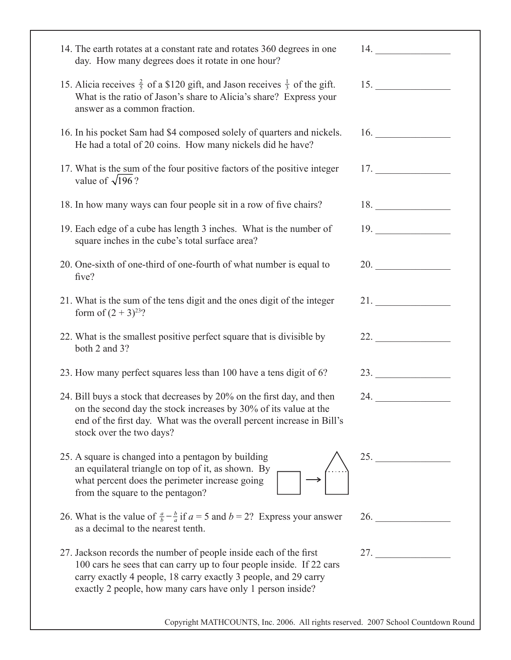| 14. The earth rotates at a constant rate and rotates 360 degrees in one<br>day. How many degrees does it rotate in one hour?                                                                                                                                               | 14.                                                                                                                                                                                                                                 |
|----------------------------------------------------------------------------------------------------------------------------------------------------------------------------------------------------------------------------------------------------------------------------|-------------------------------------------------------------------------------------------------------------------------------------------------------------------------------------------------------------------------------------|
| 15. Alicia receives $\frac{2}{5}$ of a \$120 gift, and Jason receives $\frac{1}{3}$ of the gift.<br>What is the ratio of Jason's share to Alicia's share? Express your<br>answer as a common fraction.                                                                     | 15. $\qquad$                                                                                                                                                                                                                        |
| 16. In his pocket Sam had \$4 composed solely of quarters and nickels.<br>He had a total of 20 coins. How many nickels did he have?                                                                                                                                        | 16. $\qquad \qquad$                                                                                                                                                                                                                 |
| 17. What is the sum of the four positive factors of the positive integer<br>value of $\sqrt{196}$ ?                                                                                                                                                                        | 17.                                                                                                                                                                                                                                 |
| 18. In how many ways can four people sit in a row of five chairs?                                                                                                                                                                                                          | 18.                                                                                                                                                                                                                                 |
| 19. Each edge of a cube has length 3 inches. What is the number of<br>square inches in the cube's total surface area?                                                                                                                                                      | 19.                                                                                                                                                                                                                                 |
| 20. One-sixth of one-third of one-fourth of what number is equal to<br>five?                                                                                                                                                                                               | 20.                                                                                                                                                                                                                                 |
| 21. What is the sum of the tens digit and the ones digit of the integer<br>form of $(2 + 3)^{23}$ ?                                                                                                                                                                        | 21.                                                                                                                                                                                                                                 |
| 22. What is the smallest positive perfect square that is divisible by<br>both 2 and 3?                                                                                                                                                                                     | 22.                                                                                                                                                                                                                                 |
| 23. How many perfect squares less than 100 have a tens digit of 6?                                                                                                                                                                                                         | 23.                                                                                                                                                                                                                                 |
| 24. Bill buys a stock that decreases by 20% on the first day, and then<br>on the second day the stock increases by 30% of its value at the<br>end of the first day. What was the overall percent increase in Bill's<br>stock over the two days?                            | 24.                                                                                                                                                                                                                                 |
| 25. A square is changed into a pentagon by building<br>an equilateral triangle on top of it, as shown. By<br>what percent does the perimeter increase going<br>from the square to the pentagon?                                                                            |                                                                                                                                                                                                                                     |
| 26. What is the value of $\frac{a}{b} - \frac{b}{a}$ if $a = 5$ and $b = 2$ ? Express your answer<br>as a decimal to the nearest tenth.                                                                                                                                    | <b>26.</b> The contract of the contract of the contract of the contract of the contract of the contract of the contract of the contract of the contract of the contract of the contract of the contract of the contract of the cont |
| 27. Jackson records the number of people inside each of the first<br>100 cars he sees that can carry up to four people inside. If 22 cars<br>carry exactly 4 people, 18 carry exactly 3 people, and 29 carry<br>exactly 2 people, how many cars have only 1 person inside? | 27.                                                                                                                                                                                                                                 |
| Copyright MATHCOUNTS, Inc. 2006. All rights reserved. 2007 School Countdown Round                                                                                                                                                                                          |                                                                                                                                                                                                                                     |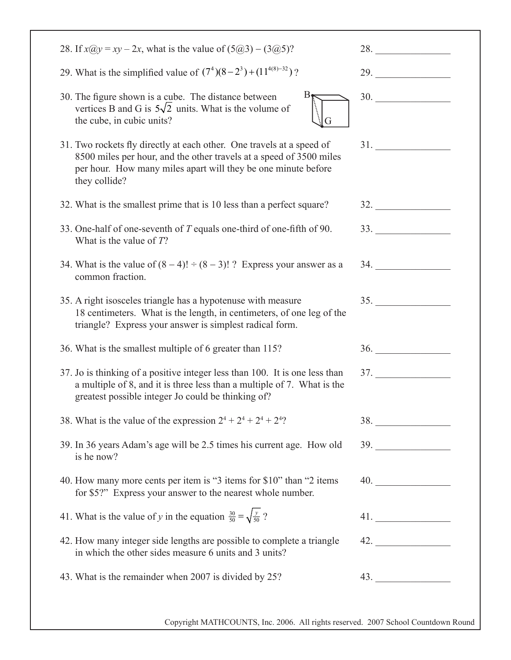| 28. If $x@y = xy - 2x$ , what is the value of $(5@3) - (3@5)$ ?                                                                                                                                                                | 28.                                                                                    |
|--------------------------------------------------------------------------------------------------------------------------------------------------------------------------------------------------------------------------------|----------------------------------------------------------------------------------------|
| 29. What is the simplified value of $(7^4)(8-2^3) + (11^{4(8)-32})$ ?                                                                                                                                                          | 29.                                                                                    |
| $B_{\tilde{\tau}}$<br>30. The figure shown is a cube. The distance between<br>vertices B and G is $5\sqrt{2}$ units. What is the volume of<br>the cube, in cubic units?<br>G                                                   | 30.                                                                                    |
| 31. Two rockets fly directly at each other. One travels at a speed of<br>8500 miles per hour, and the other travels at a speed of 3500 miles<br>per hour. How many miles apart will they be one minute before<br>they collide? | 31.                                                                                    |
| 32. What is the smallest prime that is 10 less than a perfect square?                                                                                                                                                          | 32.                                                                                    |
| 33. One-half of one-seventh of T equals one-third of one-fifth of 90.<br>What is the value of $T$ ?                                                                                                                            | $\begin{array}{c}\n33. \quad \textcolor{blue}{\overline{\qquad \qquad }}\n\end{array}$ |
| 34. What is the value of $(8-4)! \div (8-3)!$ ? Express your answer as a<br>common fraction.                                                                                                                                   | 34.                                                                                    |
| 35. A right isosceles triangle has a hypotenuse with measure<br>18 centimeters. What is the length, in centimeters, of one leg of the<br>triangle? Express your answer is simplest radical form.                               | 35.                                                                                    |
| 36. What is the smallest multiple of 6 greater than 115?                                                                                                                                                                       | 36.                                                                                    |
| 37. Jo is thinking of a positive integer less than 100. It is one less than<br>a multiple of 8, and it is three less than a multiple of 7. What is the<br>greatest possible integer Jo could be thinking of?                   | 37.                                                                                    |
| 38. What is the value of the expression $2^4 + 2^4 + 2^4 + 2^4$ ?                                                                                                                                                              | 38.                                                                                    |
| 39. In 36 years Adam's age will be 2.5 times his current age. How old<br>is he now?                                                                                                                                            | 39.                                                                                    |
| 40. How many more cents per item is "3 items for \$10" than "2 items<br>for \$5?" Express your answer to the nearest whole number.                                                                                             | 40.                                                                                    |
| 41. What is the value of y in the equation $\frac{30}{50} = \sqrt{\frac{y}{50}}$ ?                                                                                                                                             | 41.                                                                                    |
| 42. How many integer side lengths are possible to complete a triangle<br>in which the other sides measure 6 units and 3 units?                                                                                                 |                                                                                        |
| 43. What is the remainder when 2007 is divided by 25?                                                                                                                                                                          | 43.                                                                                    |
|                                                                                                                                                                                                                                |                                                                                        |

Copyright MATHCOUNTS, Inc. 2006. All rights reserved. 2007 School Countdown Round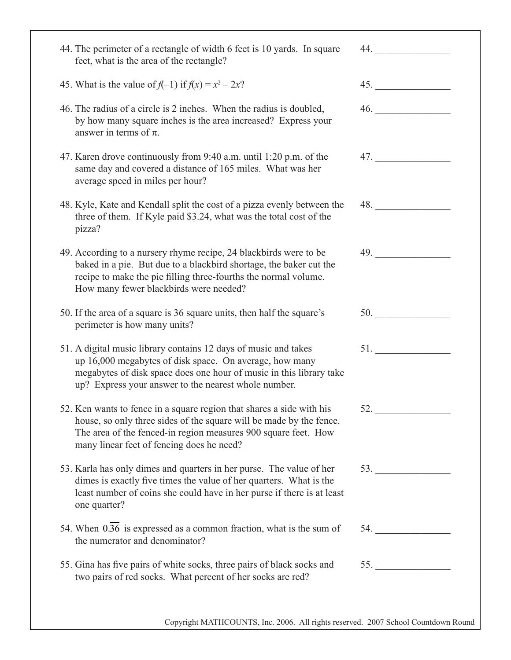| 44. The perimeter of a rectangle of width 6 feet is 10 yards. In square<br>feet, what is the area of the rectangle?                                                                                                                                         | 44.                                 |
|-------------------------------------------------------------------------------------------------------------------------------------------------------------------------------------------------------------------------------------------------------------|-------------------------------------|
| 45. What is the value of $f(-1)$ if $f(x) = x^2 - 2x$ ?                                                                                                                                                                                                     | 45.                                 |
| 46. The radius of a circle is 2 inches. When the radius is doubled,<br>by how many square inches is the area increased? Express your<br>answer in terms of $\pi$ .                                                                                          | 46.                                 |
| 47. Karen drove continuously from 9:40 a.m. until 1:20 p.m. of the<br>same day and covered a distance of 165 miles. What was her<br>average speed in miles per hour?                                                                                        | 47.                                 |
| 48. Kyle, Kate and Kendall split the cost of a pizza evenly between the<br>three of them. If Kyle paid \$3.24, what was the total cost of the<br>pizza?                                                                                                     | 48.                                 |
| 49. According to a nursery rhyme recipe, 24 blackbirds were to be<br>baked in a pie. But due to a blackbird shortage, the baker cut the<br>recipe to make the pie filling three-fourths the normal volume.<br>How many fewer blackbirds were needed?        | 49.                                 |
| 50. If the area of a square is 36 square units, then half the square's<br>perimeter is how many units?                                                                                                                                                      | <b>50.</b> The same state of $\sim$ |
| 51. A digital music library contains 12 days of music and takes<br>up 16,000 megabytes of disk space. On average, how many<br>megabytes of disk space does one hour of music in this library take<br>up? Express your answer to the nearest whole number.   | 51.                                 |
| 52. Ken wants to fence in a square region that shares a side with his<br>house, so only three sides of the square will be made by the fence.<br>The area of the fenced-in region measures 900 square feet. How<br>many linear feet of fencing does he need? | 52.                                 |
| 53. Karla has only dimes and quarters in her purse. The value of her<br>dimes is exactly five times the value of her quarters. What is the<br>least number of coins she could have in her purse if there is at least<br>one quarter?                        | 53. $\qquad \qquad$                 |
| 54. When 0.36 is expressed as a common fraction, what is the sum of<br>the numerator and denominator?                                                                                                                                                       | 54.                                 |
| 55. Gina has five pairs of white socks, three pairs of black socks and<br>two pairs of red socks. What percent of her socks are red?                                                                                                                        | 55.                                 |